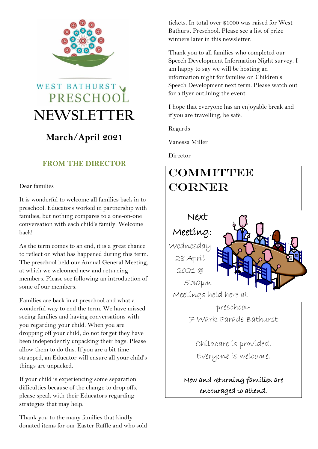

# WEST BATHURST PRESCHOOL **NEWSLETTER**

## **March/April 2021**

## **FROM THE DIRECTOR**

#### Dear families

It is wonderful to welcome all families back in to preschool. Educators worked in partnership with families, but nothing compares to a one-on-one conversation with each child's family. Welcome back!

As the term comes to an end, it is a great chance to reflect on what has happened during this term. The preschool held our Annual General Meeting, at which we welcomed new and returning members. Please see following an introduction of some of our members.

Families are back in at preschool and what a wonderful way to end the term. We have missed seeing families and having conversations with you regarding your child. When you are dropping off your child, do not forget they have been independently unpacking their bags. Please allow them to do this. If you are a bit time strapped, an Educator will ensure all your child's things are unpacked.

If your child is experiencing some separation difficulties because of the change to drop offs, please speak with their Educators regarding strategies that may help.

Thank you to the many families that kindly donated items for our Easter Raffle and who sold tickets. In total over \$1000 was raised for West Bathurst Preschool. Please see a list of prize winners later in this newsletter.

Thank you to all families who completed our Speech Development Information Night survey. I am happy to say we will be hosting an information night for families on Children's Speech Development next term. Please watch out for a flyer outlining the event.

I hope that everyone has an enjoyable break and if you are travelling, be safe.

Regards

Vanessa Miller

**Director** 

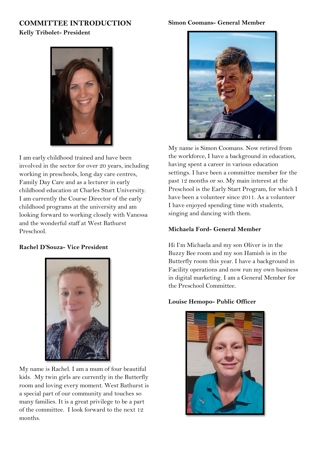### **COMMITTEE INTRODUCTION Kelly Tribolet- President**

I am early childhood trained and have been involved in the sector for over 20 years, including working in preschools, long day care centres, Family Day Care and as a lecturer in early childhood education at Charles Sturt University. I am currently the Course Director of the early childhood programs at the university and am looking forward to working closely with Vanessa and the wonderful staff at West Bathurst Preschool.

#### **Rachel D'Souza- Vice President**



My name is Rachel. I am a mum of four beautiful kids. My twin girls are currently in the Butterfly room and loving every moment. West Bathurst is a special part of our community and touches so many families. It is a great privilege to be a part of the committee. I look forward to the next 12 months.

#### **Simon Coomans- General Member**



My name is Simon Coomans. Now retired from the workforce, I have a background in education, having spent a career in various education settings. I have been a committee member for the past 12 months or so. My main interest at the Preschool is the Early Start Program, for which I have been a volunteer since 2011. As a volunteer I have enjoyed spending time with students, singing and dancing with them.

#### **Michaela Ford- General Member**

Hi I'm Michaela and my son Oliver is in the Buzzy Bee room and my son Hamish is in the Butterfly room this year. I have a background in Facility operations and now run my own business in digital marketing. I am a General Member for the Preschool Committee.

#### **Louise Hemopo- Public Officer**